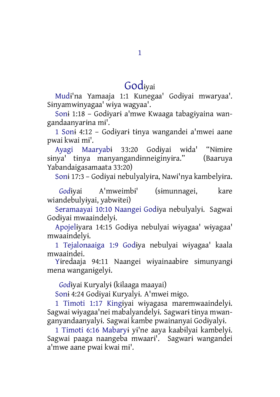## God<sup>ɨ</sup>yai

Mudɨ'na Yamaaja 1:1 Kunegaa' Godɨyai mwaryaa'. Sɨnyamwɨnyagaa' wɨya wagyaa'.

Sonɨ 1:18 – Godɨyarɨ a'mwe Kwaaga tabagɨyaina wangandaanyarɨna mɨ'.

1 Sonɨ 4:12 – Godɨyarɨ tɨnya wangandei a'mwei aane pwai kwai mɨ'.

Ayagi Maaryabɨ 33:20 Godɨyai wɨda' "Nɨmɨre sɨnya' tɨnya manyangandɨnneiginyɨra." (Baaruya Yabandaigasamaata 33:20)

Sonɨ 17:3 – Godɨyai nebulyalyɨra, Nawɨ'nya kambelyɨra.

*God*ɨyai A'mweimbɨ' (sɨmunnagei, kare wiandebulyɨyai, yabwɨtei)

Seramaayai 10:10 Naangei Godɨya nebulyalyɨ. Sagwai Godɨyai mwaaindelyɨ.

Apojelɨyara 14:15 Godɨya nebulyai wɨyagaa' wɨyagaa' mwaaindelyɨ.

1 Tejalonaaiga 1:9 Godɨya nebulyai wɨyagaa' kaala mwaaindei.

Yɨredaaja 94:11 Naangei wɨyainaabɨre sɨmunyangɨ mena wanganɨgelyɨ.

*God*ɨyai Kuryalyɨ (kɨlaaga maayai)

Sonɨ 4:24 Godɨyai Kuryalyɨ. A'mwei mɨgo.

1 Timoti 1:17 Kingɨyai wɨyagasa maremwaaindelyɨ. Sagwai wɨyagaa'nei mabalyandelyɨ. Sagwarɨ tɨnya mwanganyandaanyalyɨ. Sagwai kambe pwainanyai Godɨyalyɨ.

1 Timoti 6:16 Mabaryɨ yɨ'ne aaya kaabɨlyai kambelyɨ. Sagwai paaga naangeba mwaarɨ'. Sagwarɨ wangandei a'mwe aane pwai kwai mɨ'.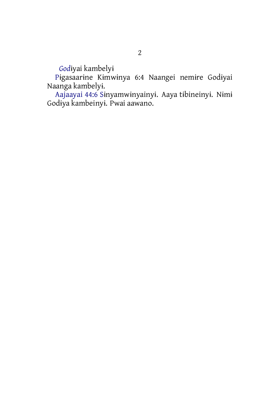*God*ɨyai kambelyɨ

Pɨgasaarɨne Kɨmwɨnya 6:4 Naangei nemɨre Godɨyai Naanga kambelyɨ.

Aajaayai 44:6 Sɨnyamwɨnyainyɨ. Aaya tɨbineinyɨ. Nɨmɨ Godɨya kambeinyɨ. Pwai aawano.